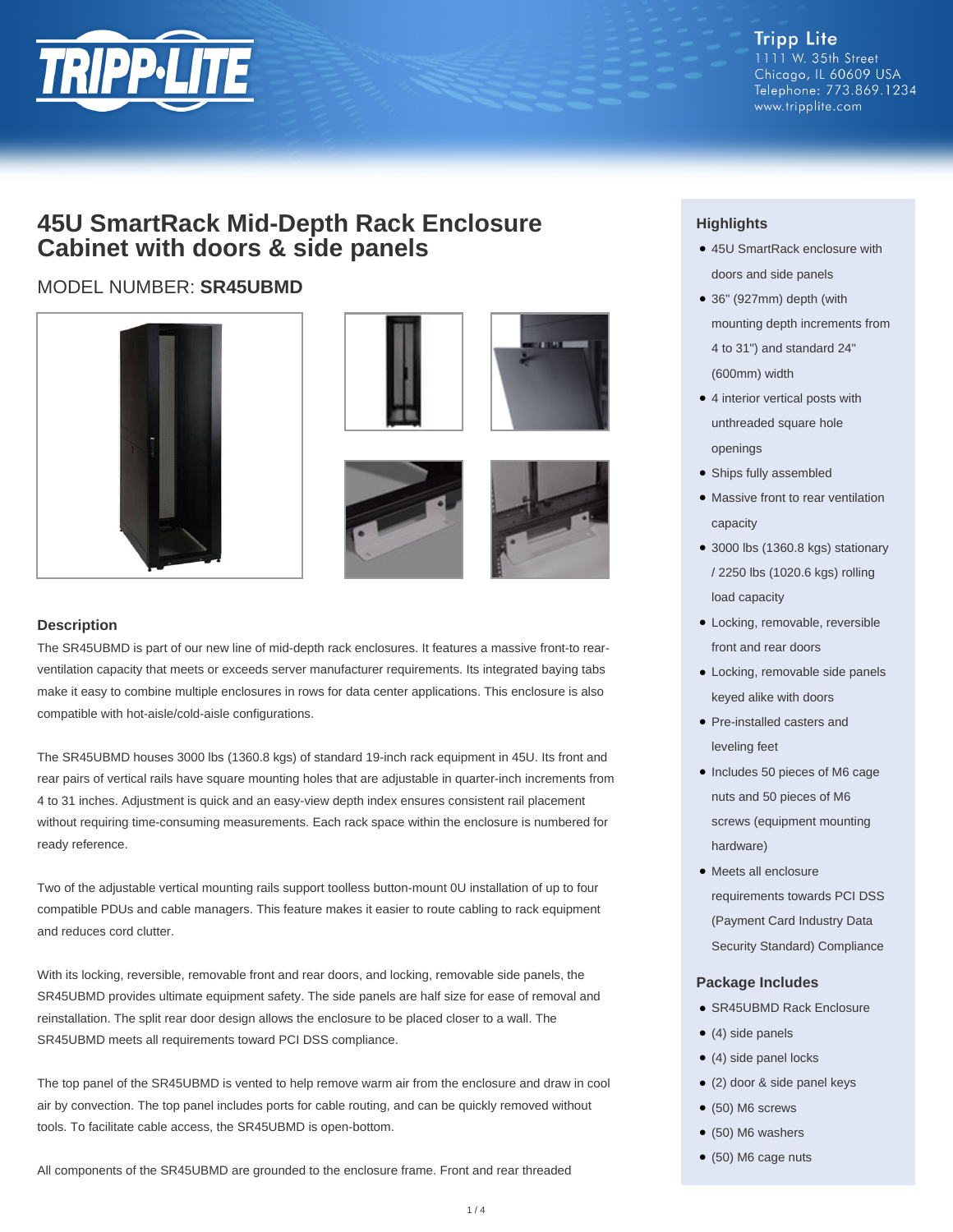

## **45U SmartRack Mid-Depth Rack Enclosure Cabinet with doors & side panels**

### MODEL NUMBER: **SR45UBMD**







#### **Description**

The SR45UBMD is part of our new line of mid-depth rack enclosures. It features a massive front-to rearventilation capacity that meets or exceeds server manufacturer requirements. Its integrated baying tabs make it easy to combine multiple enclosures in rows for data center applications. This enclosure is also compatible with hot-aisle/cold-aisle configurations.

The SR45UBMD houses 3000 lbs (1360.8 kgs) of standard 19-inch rack equipment in 45U. Its front and rear pairs of vertical rails have square mounting holes that are adjustable in quarter-inch increments from 4 to 31 inches. Adjustment is quick and an easy-view depth index ensures consistent rail placement without requiring time-consuming measurements. Each rack space within the enclosure is numbered for ready reference.

Two of the adjustable vertical mounting rails support toolless button-mount 0U installation of up to four compatible PDUs and cable managers. This feature makes it easier to route cabling to rack equipment and reduces cord clutter.

With its locking, reversible, removable front and rear doors, and locking, removable side panels, the SR45UBMD provides ultimate equipment safety. The side panels are half size for ease of removal and reinstallation. The split rear door design allows the enclosure to be placed closer to a wall. The SR45UBMD meets all requirements toward PCI DSS compliance.

The top panel of the SR45UBMD is vented to help remove warm air from the enclosure and draw in cool air by convection. The top panel includes ports for cable routing, and can be quickly removed without tools. To facilitate cable access, the SR45UBMD is open-bottom.

All components of the SR45UBMD are grounded to the enclosure frame. Front and rear threaded

### **Highlights**

- 45U SmartRack enclosure with doors and side panels
- 36" (927mm) depth (with mounting depth increments from 4 to 31") and standard 24" (600mm) width
- 4 interior vertical posts with unthreaded square hole openings
- Ships fully assembled
- Massive front to rear ventilation capacity
- 3000 lbs (1360.8 kgs) stationary / 2250 lbs (1020.6 kgs) rolling load capacity
- Locking, removable, reversible front and rear doors
- Locking, removable side panels keyed alike with doors
- Pre-installed casters and leveling feet
- Includes 50 pieces of M6 cage nuts and 50 pieces of M6 screws (equipment mounting hardware)
- Meets all enclosure requirements towards PCI DSS (Payment Card Industry Data Security Standard) Compliance

#### **Package Includes**

- SR45UBMD Rack Enclosure
- $\bullet$  (4) side panels
- (4) side panel locks
- (2) door & side panel keys
- $\bullet$  (50) M6 screws
- $\bullet$  (50) M6 washers
- (50) M6 cage nuts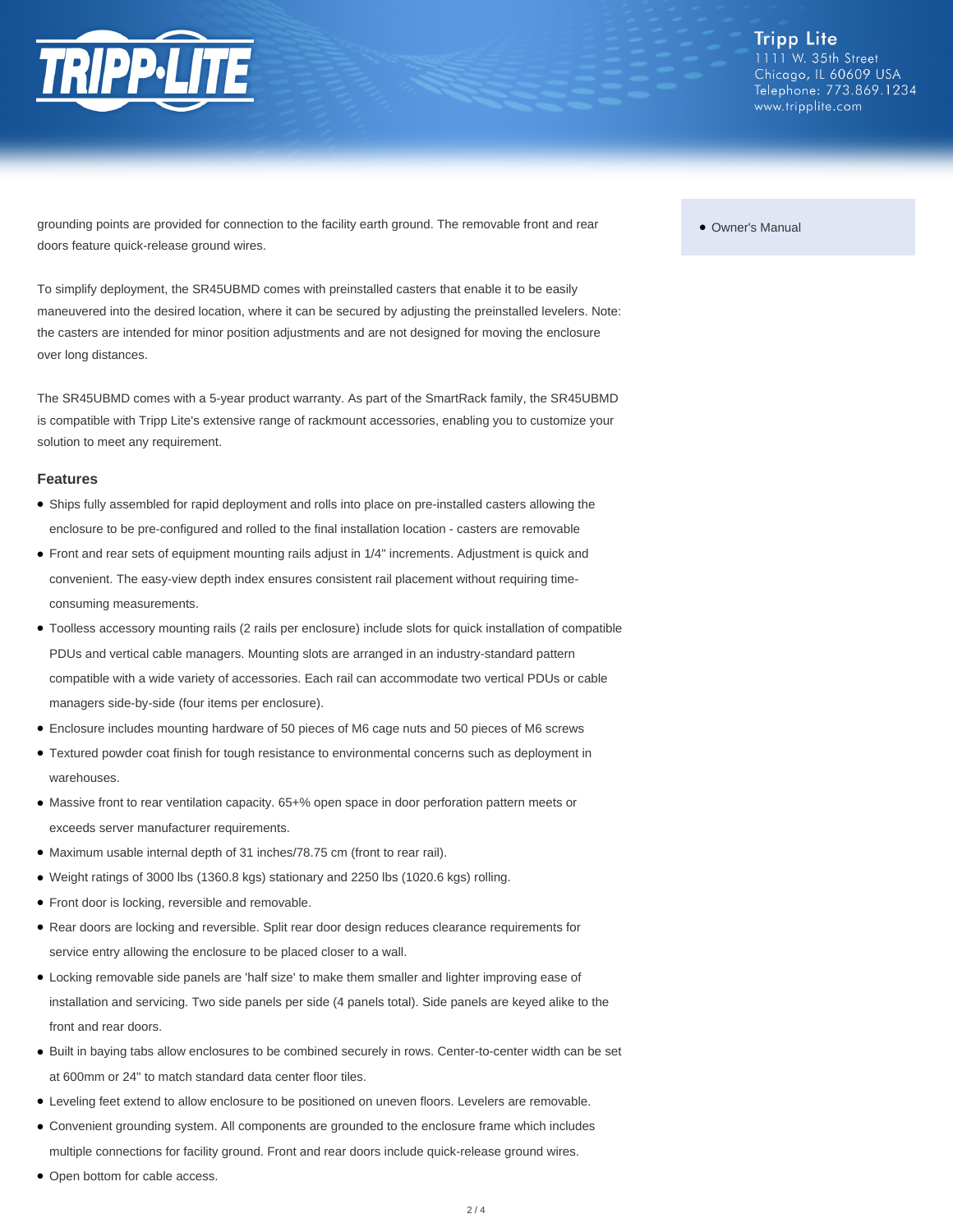

grounding points are provided for connection to the facility earth ground. The removable front and rear doors feature quick-release ground wires.

To simplify deployment, the SR45UBMD comes with preinstalled casters that enable it to be easily maneuvered into the desired location, where it can be secured by adjusting the preinstalled levelers. Note: the casters are intended for minor position adjustments and are not designed for moving the enclosure over long distances.

The SR45UBMD comes with a 5-year product warranty. As part of the SmartRack family, the SR45UBMD is compatible with Tripp Lite's extensive range of rackmount accessories, enabling you to customize your solution to meet any requirement.

#### **Features**

- Ships fully assembled for rapid deployment and rolls into place on pre-installed casters allowing the enclosure to be pre-configured and rolled to the final installation location - casters are removable
- Front and rear sets of equipment mounting rails adjust in 1/4" increments. Adjustment is quick and convenient. The easy-view depth index ensures consistent rail placement without requiring timeconsuming measurements.
- Toolless accessory mounting rails (2 rails per enclosure) include slots for quick installation of compatible PDUs and vertical cable managers. Mounting slots are arranged in an industry-standard pattern compatible with a wide variety of accessories. Each rail can accommodate two vertical PDUs or cable managers side-by-side (four items per enclosure).
- Enclosure includes mounting hardware of 50 pieces of M6 cage nuts and 50 pieces of M6 screws
- Textured powder coat finish for tough resistance to environmental concerns such as deployment in warehouses.
- Massive front to rear ventilation capacity. 65+% open space in door perforation pattern meets or exceeds server manufacturer requirements.
- Maximum usable internal depth of 31 inches/78.75 cm (front to rear rail).
- Weight ratings of 3000 lbs (1360.8 kgs) stationary and 2250 lbs (1020.6 kgs) rolling.
- Front door is locking, reversible and removable.
- Rear doors are locking and reversible. Split rear door design reduces clearance requirements for service entry allowing the enclosure to be placed closer to a wall.
- Locking removable side panels are 'half size' to make them smaller and lighter improving ease of installation and servicing. Two side panels per side (4 panels total). Side panels are keyed alike to the front and rear doors.
- Built in baying tabs allow enclosures to be combined securely in rows. Center-to-center width can be set at 600mm or 24" to match standard data center floor tiles.
- Leveling feet extend to allow enclosure to be positioned on uneven floors. Levelers are removable.
- Convenient grounding system. All components are grounded to the enclosure frame which includes multiple connections for facility ground. Front and rear doors include quick-release ground wires.
- Open bottom for cable access.

#### ● Owner's Manual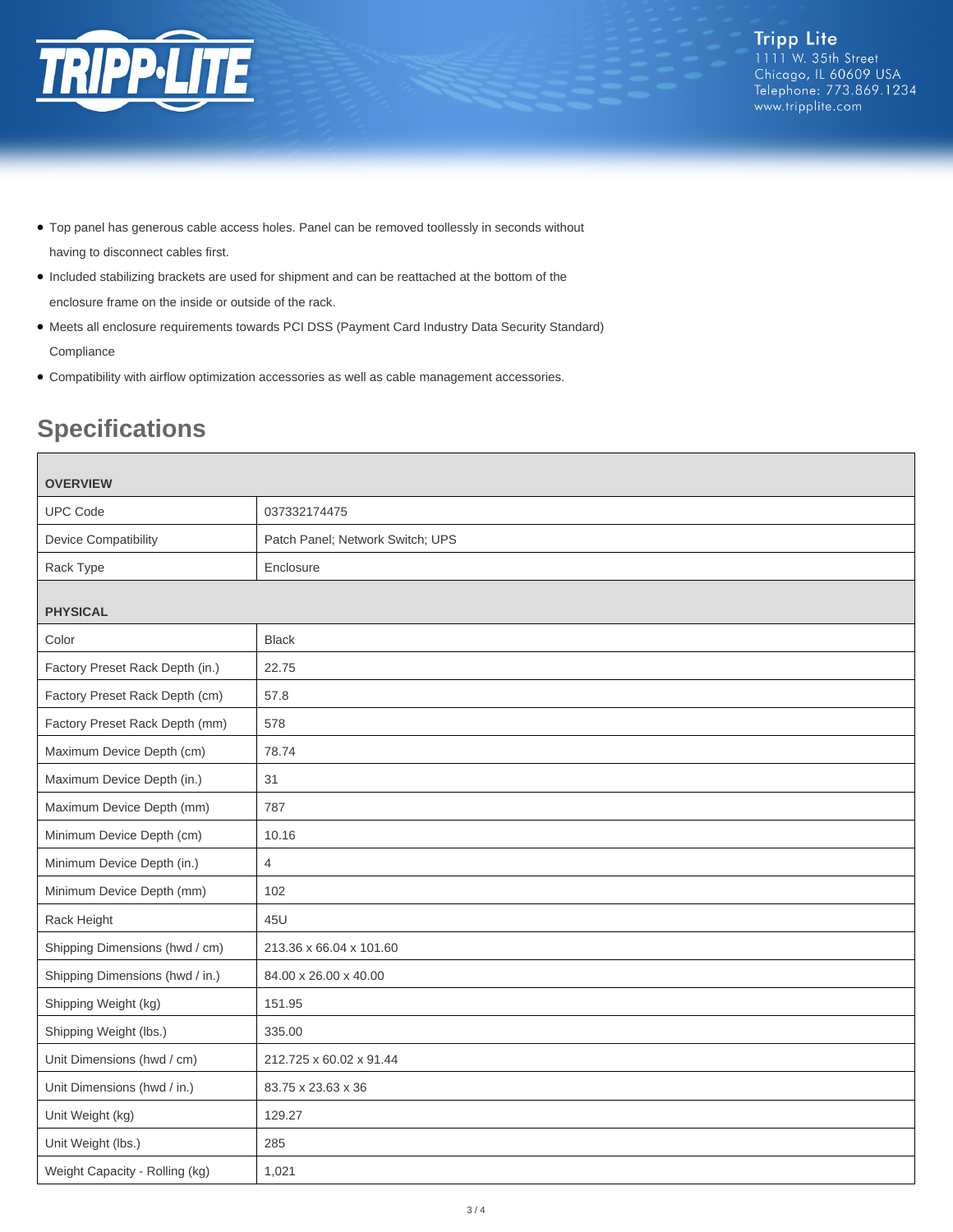

- Top panel has generous cable access holes. Panel can be removed toollessly in seconds without having to disconnect cables first.
- Included stabilizing brackets are used for shipment and can be reattached at the bottom of the enclosure frame on the inside or outside of the rack.
- Meets all enclosure requirements towards PCI DSS (Payment Card Industry Data Security Standard) Compliance
- Compatibility with airflow optimization accessories as well as cable management accessories.

# **Specifications**

| <b>OVERVIEW</b>                 |                                  |  |
|---------------------------------|----------------------------------|--|
| <b>UPC Code</b>                 | 037332174475                     |  |
| <b>Device Compatibility</b>     | Patch Panel; Network Switch; UPS |  |
| Rack Type                       | Enclosure                        |  |
| <b>PHYSICAL</b>                 |                                  |  |
| Color                           | <b>Black</b>                     |  |
| Factory Preset Rack Depth (in.) | 22.75                            |  |
| Factory Preset Rack Depth (cm)  | 57.8                             |  |
| Factory Preset Rack Depth (mm)  | 578                              |  |
| Maximum Device Depth (cm)       | 78.74                            |  |
| Maximum Device Depth (in.)      | 31                               |  |
| Maximum Device Depth (mm)       | 787                              |  |
| Minimum Device Depth (cm)       | 10.16                            |  |
| Minimum Device Depth (in.)      | $\overline{4}$                   |  |
| Minimum Device Depth (mm)       | 102                              |  |
| Rack Height                     | 45U                              |  |
| Shipping Dimensions (hwd / cm)  | 213.36 x 66.04 x 101.60          |  |
| Shipping Dimensions (hwd / in.) | 84.00 x 26.00 x 40.00            |  |
| Shipping Weight (kg)            | 151.95                           |  |
| Shipping Weight (lbs.)          | 335.00                           |  |
| Unit Dimensions (hwd / cm)      | 212.725 x 60.02 x 91.44          |  |
| Unit Dimensions (hwd / in.)     | 83.75 x 23.63 x 36               |  |
| Unit Weight (kg)                | 129.27                           |  |
| Unit Weight (lbs.)              | 285                              |  |
| Weight Capacity - Rolling (kg)  | 1,021                            |  |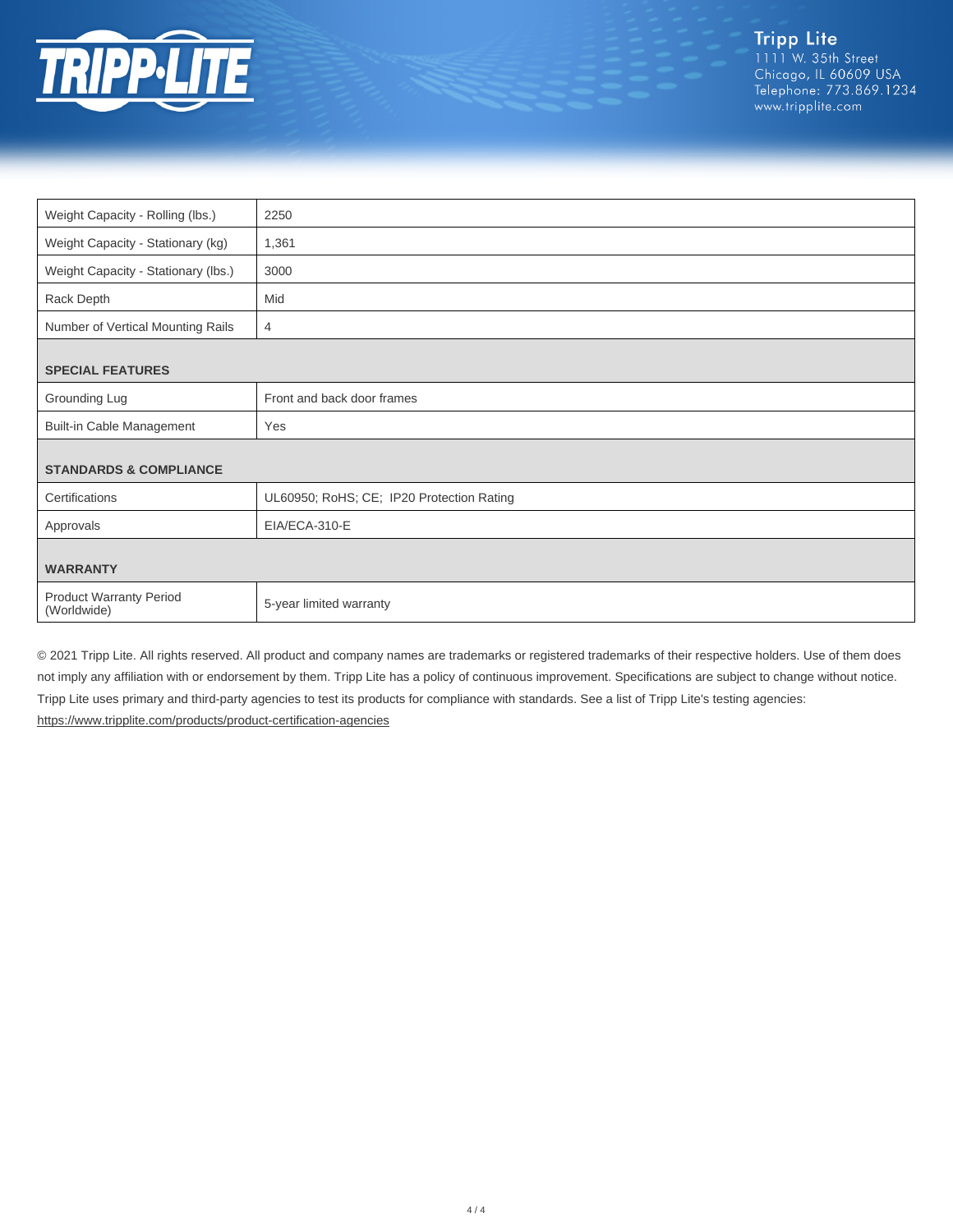

| Weight Capacity - Rolling (lbs.)              | 2250                                      |
|-----------------------------------------------|-------------------------------------------|
| Weight Capacity - Stationary (kg)             | 1,361                                     |
| Weight Capacity - Stationary (lbs.)           | 3000                                      |
| Rack Depth                                    | Mid                                       |
| Number of Vertical Mounting Rails             | $\overline{4}$                            |
|                                               |                                           |
| <b>SPECIAL FEATURES</b>                       |                                           |
| Grounding Lug                                 | Front and back door frames                |
| <b>Built-in Cable Management</b>              | Yes                                       |
|                                               |                                           |
| <b>STANDARDS &amp; COMPLIANCE</b>             |                                           |
| Certifications                                | UL60950; RoHS; CE; IP20 Protection Rating |
| Approvals                                     | EIA/ECA-310-E                             |
|                                               |                                           |
| <b>WARRANTY</b>                               |                                           |
| <b>Product Warranty Period</b><br>(Worldwide) | 5-year limited warranty                   |

© 2021 Tripp Lite. All rights reserved. All product and company names are trademarks or registered trademarks of their respective holders. Use of them does not imply any affiliation with or endorsement by them. Tripp Lite has a policy of continuous improvement. Specifications are subject to change without notice. Tripp Lite uses primary and third-party agencies to test its products for compliance with standards. See a list of Tripp Lite's testing agencies: <https://www.tripplite.com/products/product-certification-agencies>